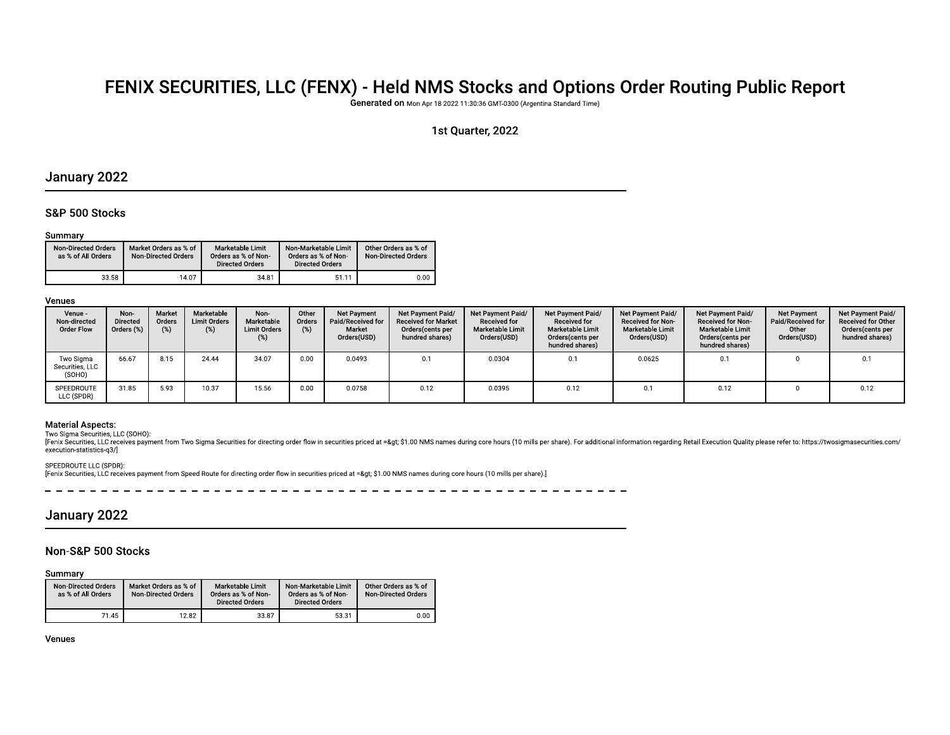# FENIX SECURITIES, LLC (FENX) - Held NMS Stocks and Options Order Routing Public Report

Generated on Mon Apr 18 2022 11:30:36 GMT-0300 (Argentina Standard Time)

# 1st Quarter, 2022

# January 2022

# S&P 500 Stocks

## Summary

| <b>Non-Directed Orders</b><br>as % of All Orders | Market Orders as % of<br><b>Non-Directed Orders</b> | Marketable Limit<br>Orders as % of Non-<br><b>Directed Orders</b> | Non-Marketable Limit<br>Orders as % of Non-<br><b>Directed Orders</b> | Other Orders as % of<br><b>Non-Directed Orders</b> |
|--------------------------------------------------|-----------------------------------------------------|-------------------------------------------------------------------|-----------------------------------------------------------------------|----------------------------------------------------|
| 33.58                                            | 14.07                                               | 34.81                                                             | 51.11                                                                 | 0.00                                               |

# Venues

| Venue -<br>Non-directed<br><b>Order Flow</b> | Non-<br><b>Directed</b><br>Orders (%) | Market<br>Orders<br>(%) | Marketable<br><b>Limit Orders</b><br>(%) | Non-<br>Marketable<br><b>Limit Orders</b> | Other<br>Orders | <b>Net Payment</b><br>Paid/Received for<br>Market<br>Orders(USD) | Net Payment Paid/<br><b>Received for Market</b><br>Orders(cents per<br>hundred shares) | Net Payment Paid/<br><b>Received for</b><br><b>Marketable Limit</b><br>Orders(USD) | Net Payment Paid/<br><b>Received for</b><br><b>Marketable Limit</b><br>Orders(cents per<br>hundred shares) | Net Payment Paid/<br>Received for Non-<br><b>Marketable Limit</b><br>Orders(USD) | Net Payment Paid/<br><b>Received for Non-</b><br><b>Marketable Limit</b><br>Orders(cents per<br>hundred shares) | <b>Net Payment</b><br>Paid/Received for<br>Other<br>Orders(USD) | Net Payment Paid/<br><b>Received for Other</b><br>Orders(cents per<br>hundred shares) |
|----------------------------------------------|---------------------------------------|-------------------------|------------------------------------------|-------------------------------------------|-----------------|------------------------------------------------------------------|----------------------------------------------------------------------------------------|------------------------------------------------------------------------------------|------------------------------------------------------------------------------------------------------------|----------------------------------------------------------------------------------|-----------------------------------------------------------------------------------------------------------------|-----------------------------------------------------------------|---------------------------------------------------------------------------------------|
| Two Sigma<br>Securities, LLC<br>(SOHO)       | 66.67                                 | 8.15                    | 24.44                                    | 34.07                                     | 0.00            | 0.0493                                                           | 0.1                                                                                    | 0.0304                                                                             |                                                                                                            | 0.0625                                                                           | 0.1                                                                                                             |                                                                 | 0.1                                                                                   |
| SPEEDROUTE<br>LLC (SPDR)                     | 31.85                                 | 5.93                    | 10.37                                    | 15.56                                     | 0.00            | 0.0758                                                           | 0.12                                                                                   | 0.0395                                                                             | 0.12                                                                                                       | 0.1                                                                              | 0.12                                                                                                            |                                                                 | 0.12                                                                                  |

# **Material Aspects:**

Two Sigma Securities, LLC (SOHO):

Fenix Securities, LLC receives payment from Two Sigma Securities for directing order flow in securities priced at => \$1.00 NMS names during core hours (10 mills per share). For additional information regarding Retail Ex execution-statistics-q3/]

# SPEEDROUTE LLC (SPDR):

[Fenix Securities, LLC receives payment from Speed Route for directing order flow in securities priced at => \$1.00 NMS names during core hours (10 mills per share).]

 $\frac{1}{2}$  =  $\frac{1}{2}$  =  $\frac{1}{2}$  =  $\frac{1}{2}$  =  $\frac{1}{2}$  =  $\frac{1}{2}$ \_\_\_\_\_\_\_\_\_\_\_\_\_\_\_\_\_\_\_\_\_\_\_\_\_\_\_\_\_\_\_\_\_

# January 2022

# Non-S&P 500 Stocks

Summary

| <b>Non-Directed Orders</b><br>as % of All Orders | Market Orders as % of<br><b>Non-Directed Orders</b> | Marketable Limit<br>Orders as % of Non-<br><b>Directed Orders</b> | Non-Marketable Limit<br>Orders as % of Non-<br><b>Directed Orders</b> | Other Orders as % of<br>Non-Directed Orders |
|--------------------------------------------------|-----------------------------------------------------|-------------------------------------------------------------------|-----------------------------------------------------------------------|---------------------------------------------|
| 71.45                                            | 12.82                                               | 33.87                                                             | 53.31                                                                 | 0.00                                        |

Venues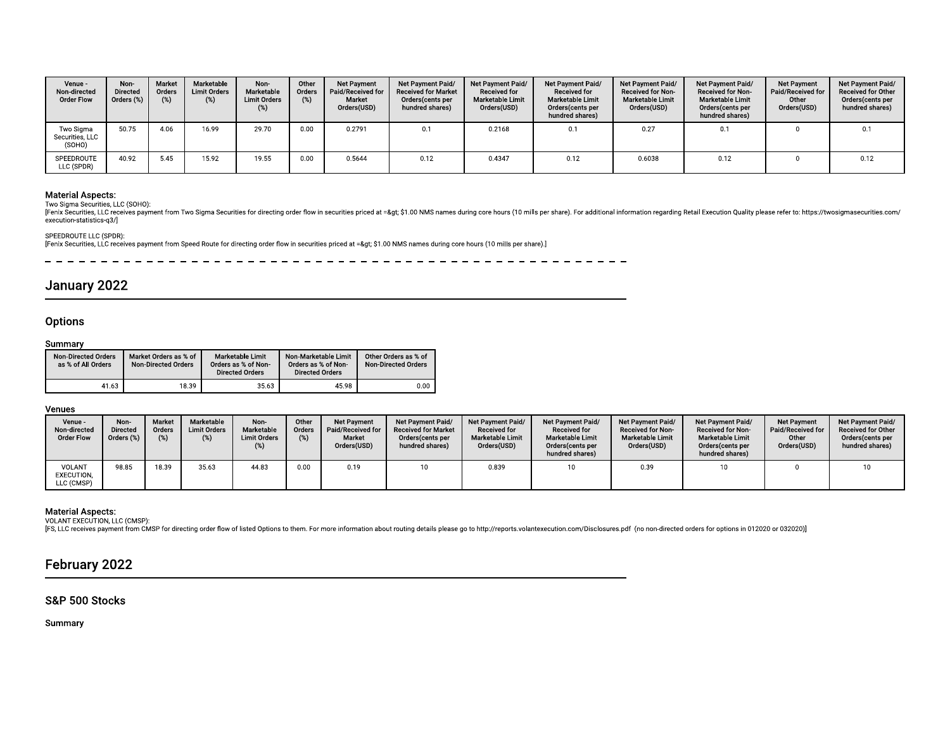| Venue -<br>Non-directed<br><b>Order Flow</b>                                                                         | Non-<br>Directed<br>Orders (%) | Market<br>Orders<br>(%)                             | Marketable<br><b>Limit Orders</b><br>(%) | Non-<br>Marketable<br><b>Limit Orders</b><br>$(\%)$               | Other<br>Orders<br>(%)                                                | <b>Net Payment</b><br>Paid/Received for<br>Market<br>Orders(USD) | Net Payment Paid/<br><b>Received for Market</b><br>Orders(cents per<br>hundred shares)                                                                                                                                                                                                                                                                                                                   | Net Payment Paid/<br><b>Received for</b><br>Marketable Limit<br>Orders(USD) | Net Payment Paid,<br><b>Received for</b><br><b>Marketable Limit</b><br>Orders(cents per<br>hundred shares) | Net Payment Paid/<br>Received for Non-<br>Marketable Limit<br>Orders(USD) | Net Payment Paid/<br>Received for Non-<br><b>Marketable Limit</b><br>Orders(cents per<br>hundred shares) | <b>Net Payment</b><br>Paid/Received for<br>Other<br>Orders(USD) | Net Payment Paid/<br><b>Received for Other</b><br>Orders(cents per<br>hundred shares) |
|----------------------------------------------------------------------------------------------------------------------|--------------------------------|-----------------------------------------------------|------------------------------------------|-------------------------------------------------------------------|-----------------------------------------------------------------------|------------------------------------------------------------------|----------------------------------------------------------------------------------------------------------------------------------------------------------------------------------------------------------------------------------------------------------------------------------------------------------------------------------------------------------------------------------------------------------|-----------------------------------------------------------------------------|------------------------------------------------------------------------------------------------------------|---------------------------------------------------------------------------|----------------------------------------------------------------------------------------------------------|-----------------------------------------------------------------|---------------------------------------------------------------------------------------|
| Two Sigma<br>Securities, LLC<br>(SOHO)                                                                               | 50.75                          | 4.06                                                | 16.99                                    | 29.70                                                             | 0.00                                                                  | 0.2791                                                           | 0.1                                                                                                                                                                                                                                                                                                                                                                                                      | 0.2168                                                                      | 0.1                                                                                                        | 0.27                                                                      | 0.1                                                                                                      | $\Omega$                                                        | 0.1                                                                                   |
| SPEEDROUTE<br>LLC (SPDR)                                                                                             | 40.92                          | 5.45                                                | 15.92                                    | 19.55                                                             | 0.00                                                                  | 0.5644                                                           | 0.12                                                                                                                                                                                                                                                                                                                                                                                                     | 0.4347                                                                      | 0.12                                                                                                       | 0.6038                                                                    | 0.12                                                                                                     | $\mathbf{0}$                                                    | 0.12                                                                                  |
| <b>Material Aspects:</b><br>Two Sigma Securities, LLC (SOHO):<br>execution-statistics-q3/]<br>SPEEDROUTE LLC (SPDR): |                                |                                                     |                                          |                                                                   |                                                                       |                                                                  | [Fenix Securities, LLC receives payment from Two Sigma Securities for directing order flow in securities priced at =&qt \$1.00 NMS names during core hours (10 mills per share). For additional information regarding Retail E<br>[Fenix Securities, LLC receives payment from Speed Route for directing order flow in securities priced at => \$1.00 NMS names during core hours (10 mills per share).] |                                                                             |                                                                                                            |                                                                           |                                                                                                          |                                                                 |                                                                                       |
| January 2022<br><b>Options</b>                                                                                       |                                |                                                     |                                          |                                                                   |                                                                       |                                                                  |                                                                                                                                                                                                                                                                                                                                                                                                          |                                                                             |                                                                                                            |                                                                           |                                                                                                          |                                                                 |                                                                                       |
| Summary                                                                                                              |                                |                                                     |                                          |                                                                   |                                                                       |                                                                  |                                                                                                                                                                                                                                                                                                                                                                                                          |                                                                             |                                                                                                            |                                                                           |                                                                                                          |                                                                 |                                                                                       |
| Non-Directed Orders<br>as % of All Orders                                                                            |                                | Market Orders as % of<br><b>Non-Directed Orders</b> |                                          | Marketable Limit<br>Orders as % of Non-<br><b>Directed Orders</b> | Non-Marketable Limit<br>Orders as % of Non-<br><b>Directed Orders</b> |                                                                  | Other Orders as % of<br><b>Non-Directed Orders</b>                                                                                                                                                                                                                                                                                                                                                       |                                                                             |                                                                                                            |                                                                           |                                                                                                          |                                                                 |                                                                                       |

| [Fenix Securities, LLC receives payment from Speed Route for directing order flow in securities priced at =&qt \$1.00 NMS names during core hours (10)<br>Market Orders as % of<br>Marketable Limit<br>Non-Marketable Limit<br>Other Orders as % of<br><b>Non-Directed Orders</b><br>Orders as % of Non-<br>Orders as % of Non-<br><b>Non-Directed Orders</b><br><b>Directed Orders</b><br><b>Directed Orders</b><br>18.39<br>35.63<br>45.98<br>0.00 | <b>Non-Directed Orders</b><br>as % of All Orders                                                                                                                                                                                                  | 41.63 |  |  |  |  |  |
|------------------------------------------------------------------------------------------------------------------------------------------------------------------------------------------------------------------------------------------------------------------------------------------------------------------------------------------------------------------------------------------------------------------------------------------------------|---------------------------------------------------------------------------------------------------------------------------------------------------------------------------------------------------------------------------------------------------|-------|--|--|--|--|--|
|                                                                                                                                                                                                                                                                                                                                                                                                                                                      |                                                                                                                                                                                                                                                   |       |  |  |  |  |  |
|                                                                                                                                                                                                                                                                                                                                                                                                                                                      |                                                                                                                                                                                                                                                   |       |  |  |  |  |  |
|                                                                                                                                                                                                                                                                                                                                                                                                                                                      | <b>Options</b><br>Summary                                                                                                                                                                                                                         |       |  |  |  |  |  |
|                                                                                                                                                                                                                                                                                                                                                                                                                                                      | SPEEDROUTE LLC (SPDR):<br>January 2022                                                                                                                                                                                                            |       |  |  |  |  |  |
|                                                                                                                                                                                                                                                                                                                                                                                                                                                      | <b>Material Aspects:</b><br>Two Sigma Securities, LLC (SOHO):<br>[Fenix Securities, LLC receives payment from Two Sigma Securities for directing order flow in securities priced at =&qt \$1.00 NMS names during core<br>execution-statistics-g3/ |       |  |  |  |  |  |

| 41.63<br>45.98<br>0.00<br>18.39<br>35.63<br>Marketable<br>Net Payment Paid/<br>Net Payment Paid/<br>Venue -<br>Non-<br>Market<br>Other<br>Net Payment<br>Net Payment Paid/<br>Net Payment Paid/<br>Net Payment Paid/<br>Net Payment<br>Non-<br>Orders<br><b>Limit Orders</b><br>Marketable<br>Paid/Received for<br><b>Received for Market</b><br><b>Received for</b><br><b>Received for</b><br>Received for Non-<br>Paid/Received for<br>Non-directed<br><b>Directed</b><br>Orders<br>Received for Non-<br>(%)<br>Orders (%)<br>$(\%)$<br><b>Limit Orders</b><br>Marketable Limit<br>Marketable Limit<br>Marketable Limit<br>Marketable Limit<br>Other<br>Orders(cents per<br><b>Order Flow</b><br>(%)<br>Market<br>Orders(cents per<br>hundred shares)<br>hundred shares)<br>Orders(USD)<br>Orders(USD)<br>Orders(USD)<br>Orders(cents per<br>Orders(USD)<br>Orders(cents per<br>$(\%)$<br>hundred shares)<br>hundred shares)<br>98.85<br>18.39<br>44.83<br>0.00<br>10<br>10<br>VOLANT<br>35.63<br>0.19<br>0.839<br>10 <sub>1</sub><br>0.39<br>10 <sub>1</sub><br>$\mathbf{0}$<br>EXECUTION,<br>LLC (CMSP) | Net Payment Paid/<br><b>Received for Other</b> | Non-Directed Orders<br>as % of All Orders | Market Orders as % of<br><b>Non-Directed Orders</b> | Marketable Limit<br>Orders as % of Non-<br><b>Directed Orders</b> | Non-Marketable Limit<br>Orders as % of Non-<br><b>Directed Orders</b> | Other Orders as % of<br><b>Non-Directed Orders</b> |  |  |  |
|-------------------------------------------------------------------------------------------------------------------------------------------------------------------------------------------------------------------------------------------------------------------------------------------------------------------------------------------------------------------------------------------------------------------------------------------------------------------------------------------------------------------------------------------------------------------------------------------------------------------------------------------------------------------------------------------------------------------------------------------------------------------------------------------------------------------------------------------------------------------------------------------------------------------------------------------------------------------------------------------------------------------------------------------------------------------------------------------------------------|------------------------------------------------|-------------------------------------------|-----------------------------------------------------|-------------------------------------------------------------------|-----------------------------------------------------------------------|----------------------------------------------------|--|--|--|
| Venues<br><b>Material Aspects:</b><br>VOLANT EXECUTION, LLC (CMSP):<br>[FS, LLC receives payment from CMSP for directing order flow of listed Options to them. For more information about routing details please go to http://reports.volantexecution.com/Disclosures.pdf (no non-directed orders for<br>February 2022<br>S&P 500 Stocks<br>Summary                                                                                                                                                                                                                                                                                                                                                                                                                                                                                                                                                                                                                                                                                                                                                         |                                                |                                           |                                                     |                                                                   |                                                                       |                                                    |  |  |  |
|                                                                                                                                                                                                                                                                                                                                                                                                                                                                                                                                                                                                                                                                                                                                                                                                                                                                                                                                                                                                                                                                                                             |                                                |                                           |                                                     |                                                                   |                                                                       |                                                    |  |  |  |
|                                                                                                                                                                                                                                                                                                                                                                                                                                                                                                                                                                                                                                                                                                                                                                                                                                                                                                                                                                                                                                                                                                             |                                                |                                           |                                                     |                                                                   |                                                                       |                                                    |  |  |  |
|                                                                                                                                                                                                                                                                                                                                                                                                                                                                                                                                                                                                                                                                                                                                                                                                                                                                                                                                                                                                                                                                                                             |                                                |                                           |                                                     |                                                                   |                                                                       |                                                    |  |  |  |
|                                                                                                                                                                                                                                                                                                                                                                                                                                                                                                                                                                                                                                                                                                                                                                                                                                                                                                                                                                                                                                                                                                             |                                                |                                           |                                                     |                                                                   |                                                                       |                                                    |  |  |  |
|                                                                                                                                                                                                                                                                                                                                                                                                                                                                                                                                                                                                                                                                                                                                                                                                                                                                                                                                                                                                                                                                                                             |                                                |                                           |                                                     |                                                                   |                                                                       |                                                    |  |  |  |

# February 2022<br>S&P 500 Stocks<br><sub>Summary</sub>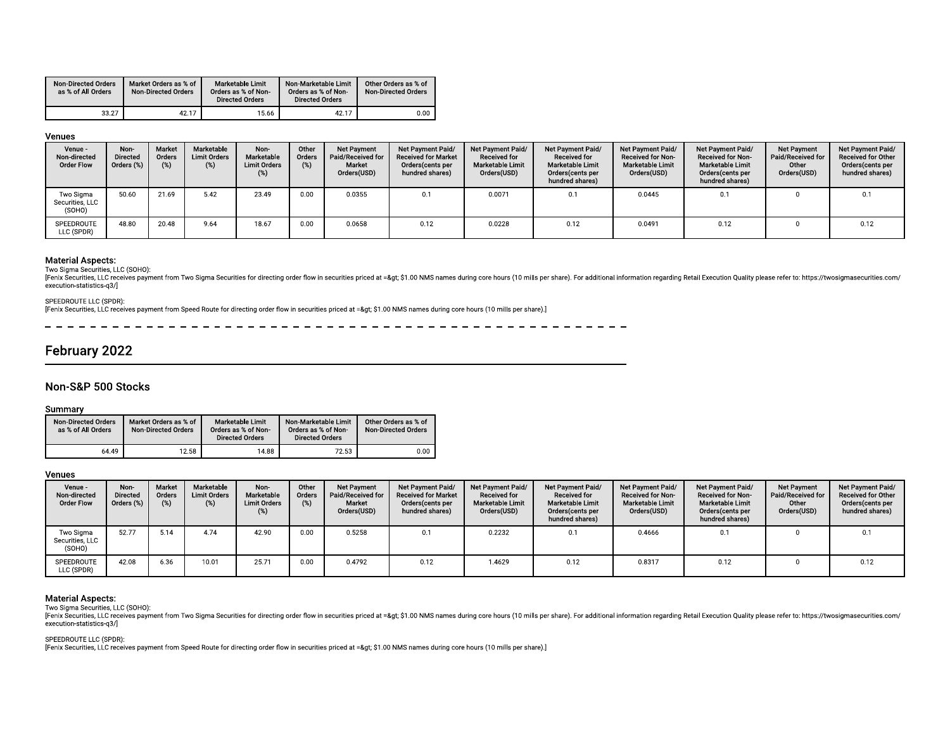| <b>Non-Directed Orders</b><br>as % of All Orders |                            | Market Orders as % of |       | <b>Marketable Limit</b><br>Orders as % of Non- | Non-Marketable Limit<br>Orders as % of Non- |       | Other Orders as % of<br><b>Non-Directed Orders</b> |  |
|--------------------------------------------------|----------------------------|-----------------------|-------|------------------------------------------------|---------------------------------------------|-------|----------------------------------------------------|--|
|                                                  | <b>Non-Directed Orders</b> |                       |       | <b>Directed Orders</b>                         | <b>Directed Orders</b>                      |       |                                                    |  |
| 33.27                                            |                            |                       | 42.17 | 15.66                                          |                                             | 42.17 | 0.00                                               |  |

| <b>Non-Directed Orders</b><br>as % of All Orders                                                                                                 |                                       | Market Orders as % of<br><b>Non-Directed Orders</b> |                                          | <b>Marketable Limit</b><br>Orders as % of Non-<br><b>Directed Orders</b> | Non-Marketable Limit<br>Orders as % of Non-<br><b>Directed Orders</b> |                                                                  | Other Orders as % of<br><b>Non-Directed Orders</b>                                                                                                                                                                                                                                                                                                                                                               |                                                                             |                                                                                                            |                                                                                  |                                                                                                          |                                                          |                                                                                       |
|--------------------------------------------------------------------------------------------------------------------------------------------------|---------------------------------------|-----------------------------------------------------|------------------------------------------|--------------------------------------------------------------------------|-----------------------------------------------------------------------|------------------------------------------------------------------|------------------------------------------------------------------------------------------------------------------------------------------------------------------------------------------------------------------------------------------------------------------------------------------------------------------------------------------------------------------------------------------------------------------|-----------------------------------------------------------------------------|------------------------------------------------------------------------------------------------------------|----------------------------------------------------------------------------------|----------------------------------------------------------------------------------------------------------|----------------------------------------------------------|---------------------------------------------------------------------------------------|
|                                                                                                                                                  | 33.27                                 | 42.17                                               |                                          | 15.66                                                                    |                                                                       | 42.17                                                            | 0.00                                                                                                                                                                                                                                                                                                                                                                                                             |                                                                             |                                                                                                            |                                                                                  |                                                                                                          |                                                          |                                                                                       |
| Venues                                                                                                                                           |                                       |                                                     |                                          |                                                                          |                                                                       |                                                                  |                                                                                                                                                                                                                                                                                                                                                                                                                  |                                                                             |                                                                                                            |                                                                                  |                                                                                                          |                                                          |                                                                                       |
| Venue -<br>Non-directed<br><b>Order Flow</b>                                                                                                     | Non-<br><b>Directed</b><br>Orders (%) | Market<br>Orders<br>(%)                             | Marketable<br><b>Limit Orders</b><br>(%) | Non-<br>Marketable<br><b>Limit Orders</b><br>(%)                         | Other<br>Orders<br>(%)                                                | <b>Net Payment</b><br>Paid/Received for<br>Market<br>Orders(USD) | Net Payment Paid/<br><b>Received for Market</b><br>Orders(cents per<br>hundred shares)                                                                                                                                                                                                                                                                                                                           | Net Payment Paid/<br><b>Received for</b><br>Marketable Limit<br>Orders(USD) | Net Payment Paid/<br><b>Received for</b><br><b>Marketable Limit</b><br>Orders(cents per<br>hundred shares) | Net Payment Paid/<br>Received for Non-<br><b>Marketable Limit</b><br>Orders(USD) | Net Payment Paid/<br>Received for Non-<br><b>Marketable Limit</b><br>Orders(cents per<br>hundred shares) | Net Payment<br>Paid/Received for<br>Other<br>Orders(USD) | Net Payment Paid/<br><b>Received for Other</b><br>Orders(cents per<br>hundred shares) |
| Two Sigma<br>Securities, LLC<br>(SOHO)                                                                                                           | 50.60                                 | 21.69                                               | 5.42                                     | 23.49                                                                    | 0.00                                                                  | 0.0355                                                           | 0.1                                                                                                                                                                                                                                                                                                                                                                                                              | 0.0071                                                                      | 0.1                                                                                                        | 0.0445                                                                           | 0.1                                                                                                      | $\Omega$                                                 | 0.1                                                                                   |
|                                                                                                                                                  |                                       |                                                     |                                          |                                                                          |                                                                       |                                                                  |                                                                                                                                                                                                                                                                                                                                                                                                                  |                                                                             |                                                                                                            |                                                                                  |                                                                                                          |                                                          | 0.12                                                                                  |
| SPEEDROUTE<br>LLC (SPDR)<br><b>Material Aspects:</b><br>Two Sigma Securities, LLC (SOHO):<br>execution-statistics-q3/]<br>SPEEDROUTE LLC (SPDR): | 48.80                                 | 20.48                                               | 9.64                                     | 18.67                                                                    | 0.00                                                                  | 0.0658                                                           | 0.12<br>[Fenix Securities, LLC receives payment from Two Sigma Securities for directing order flow in securities priced at => \$1.00 NMS names during core hours (10 mills per share). For additional information regarding Retail E<br>[Fenix Securities, LLC receives payment from Speed Route for directing order flow in securities priced at =&qt \$1.00 NMS names during core hours (10 mills per share).] | 0.0228                                                                      | 0.12                                                                                                       | 0.0491                                                                           | 0.12                                                                                                     | $\overline{0}$                                           |                                                                                       |
| February 2022                                                                                                                                    |                                       |                                                     |                                          |                                                                          |                                                                       |                                                                  |                                                                                                                                                                                                                                                                                                                                                                                                                  |                                                                             |                                                                                                            |                                                                                  |                                                                                                          |                                                          |                                                                                       |
| Non-S&P 500 Stocks<br>Summary                                                                                                                    |                                       |                                                     |                                          |                                                                          |                                                                       |                                                                  |                                                                                                                                                                                                                                                                                                                                                                                                                  |                                                                             |                                                                                                            |                                                                                  |                                                                                                          |                                                          |                                                                                       |

| <b>Material Aspects:</b><br>Two Sigma Securities, LLC (SOHO):<br>[Fenix Securities, LLC receives payment from Two Sigma Securities for directing order flow in securities priced at =&qt \$1.00 NMS names during core |       |                       |                            |       |                                                                   |                                                                       |       |                                                    |  |
|-----------------------------------------------------------------------------------------------------------------------------------------------------------------------------------------------------------------------|-------|-----------------------|----------------------------|-------|-------------------------------------------------------------------|-----------------------------------------------------------------------|-------|----------------------------------------------------|--|
| execution-statistics-q3/                                                                                                                                                                                              |       |                       |                            |       |                                                                   |                                                                       |       |                                                    |  |
| SPEEDROUTE LLC (SPDR):<br>[Fenix Securities, LLC receives payment from Speed Route for directing order flow in securities priced at =&qt \$1.00 NMS names during core hours (10                                       |       |                       |                            |       |                                                                   |                                                                       |       |                                                    |  |
|                                                                                                                                                                                                                       |       |                       |                            |       |                                                                   |                                                                       |       |                                                    |  |
|                                                                                                                                                                                                                       |       |                       |                            |       |                                                                   |                                                                       |       |                                                    |  |
| February 2022                                                                                                                                                                                                         |       |                       |                            |       |                                                                   |                                                                       |       |                                                    |  |
| Non-S&P 500 Stocks<br>Summary                                                                                                                                                                                         |       |                       |                            |       |                                                                   |                                                                       |       |                                                    |  |
| <b>Non-Directed Orders</b><br>as % of All Orders                                                                                                                                                                      |       | Market Orders as % of |                            |       |                                                                   |                                                                       |       |                                                    |  |
|                                                                                                                                                                                                                       |       |                       | <b>Non-Directed Orders</b> |       | Marketable Limit<br>Orders as % of Non-<br><b>Directed Orders</b> | Non-Marketable Limit<br>Orders as % of Non-<br><b>Directed Orders</b> |       | Other Orders as % of<br><b>Non-Directed Orders</b> |  |
|                                                                                                                                                                                                                       | 64.49 |                       |                            | 12.58 | 14.88                                                             |                                                                       | 72.53 | 0.00                                               |  |
| Venues                                                                                                                                                                                                                |       |                       |                            |       |                                                                   |                                                                       |       |                                                    |  |

| 64.49                                                                                                                                                                                                                                                                                                                       |            |                         |                                          | <b>Directed Orders</b>                           | <b>Directed Orders</b> | Orders as % of Non-                                              | <b>Non-Directed Orders</b> |                                                                                        |                                                                             |                                                                                                            |                                                                           |                                                                                                          |                                                                 |                                                                                       |
|-----------------------------------------------------------------------------------------------------------------------------------------------------------------------------------------------------------------------------------------------------------------------------------------------------------------------------|------------|-------------------------|------------------------------------------|--------------------------------------------------|------------------------|------------------------------------------------------------------|----------------------------|----------------------------------------------------------------------------------------|-----------------------------------------------------------------------------|------------------------------------------------------------------------------------------------------------|---------------------------------------------------------------------------|----------------------------------------------------------------------------------------------------------|-----------------------------------------------------------------|---------------------------------------------------------------------------------------|
|                                                                                                                                                                                                                                                                                                                             |            | 12.58                   |                                          | 14.88                                            |                        | 72.53                                                            |                            | 0.00                                                                                   |                                                                             |                                                                                                            |                                                                           |                                                                                                          |                                                                 |                                                                                       |
| <b>Venues</b>                                                                                                                                                                                                                                                                                                               |            |                         |                                          |                                                  |                        |                                                                  |                            |                                                                                        |                                                                             |                                                                                                            |                                                                           |                                                                                                          |                                                                 |                                                                                       |
| Venue -<br>Non-<br>Non-directed<br><b>Directed</b><br><b>Order Flow</b>                                                                                                                                                                                                                                                     | Orders (%) | Market<br>Orders<br>(%) | Marketable<br><b>Limit Orders</b><br>(%) | Non-<br>Marketable<br><b>Limit Orders</b><br>(%) | Other<br>Orders<br>(%) | <b>Net Payment</b><br>Paid/Received for<br>Market<br>Orders(USD) |                            | Net Payment Paid/<br><b>Received for Market</b><br>Orders(cents per<br>hundred shares) | Net Payment Paid/<br><b>Received for</b><br>Marketable Limit<br>Orders(USD) | Net Payment Paid/<br><b>Received for</b><br><b>Marketable Limit</b><br>Orders(cents per<br>hundred shares) | Net Payment Paid/<br>Received for Non-<br>Marketable Limit<br>Orders(USD) | Net Payment Paid/<br>Received for Non-<br><b>Marketable Limit</b><br>Orders(cents per<br>hundred shares) | <b>Net Payment</b><br>Paid/Received for<br>Other<br>Orders(USD) | Net Payment Paid/<br><b>Received for Other</b><br>Orders(cents per<br>hundred shares) |
| 52.77<br>Two Sigma<br>Securities, LLC<br>(SOHO)                                                                                                                                                                                                                                                                             |            | 5.14                    | 4.74                                     | 42.90                                            | 0.00                   | 0.5258                                                           |                            | 0.1                                                                                    | 0.2232                                                                      | 0.1                                                                                                        | 0.4666                                                                    | 0.1                                                                                                      | $\Omega$                                                        | 0.1                                                                                   |
| 42.08<br>SPEEDROUTE<br>LLC (SPDR)                                                                                                                                                                                                                                                                                           |            | 6.36                    | 10.01                                    | 25.71                                            | 0.00                   | 0.4792                                                           |                            | 0.12                                                                                   | 1.4629                                                                      | 0.12                                                                                                       | 0.8317                                                                    | 0.12                                                                                                     | $\Omega$                                                        | 0.12                                                                                  |
| <b>Material Aspects:</b><br>Two Sigma Securities, LLC (SOHO):<br>[Fenix Securities, LLC receives payment from Two Sigma Securities for directing order flow in securities priced at =&qt \$1.00 NMS names during core hours (10 mills per share). For additional information regarding Retail E<br>execution-statistics-q3/ |            |                         |                                          |                                                  |                        |                                                                  |                            |                                                                                        |                                                                             |                                                                                                            |                                                                           |                                                                                                          |                                                                 |                                                                                       |
| SPEEDROUTE LLC (SPDR):<br>[Fenix Securities, LLC receives payment from Speed Route for directing order flow in securities priced at =&qt: \$1.00 NMS names during core hours (10 mills per share).]                                                                                                                         |            |                         |                                          |                                                  |                        |                                                                  |                            |                                                                                        |                                                                             |                                                                                                            |                                                                           |                                                                                                          |                                                                 |                                                                                       |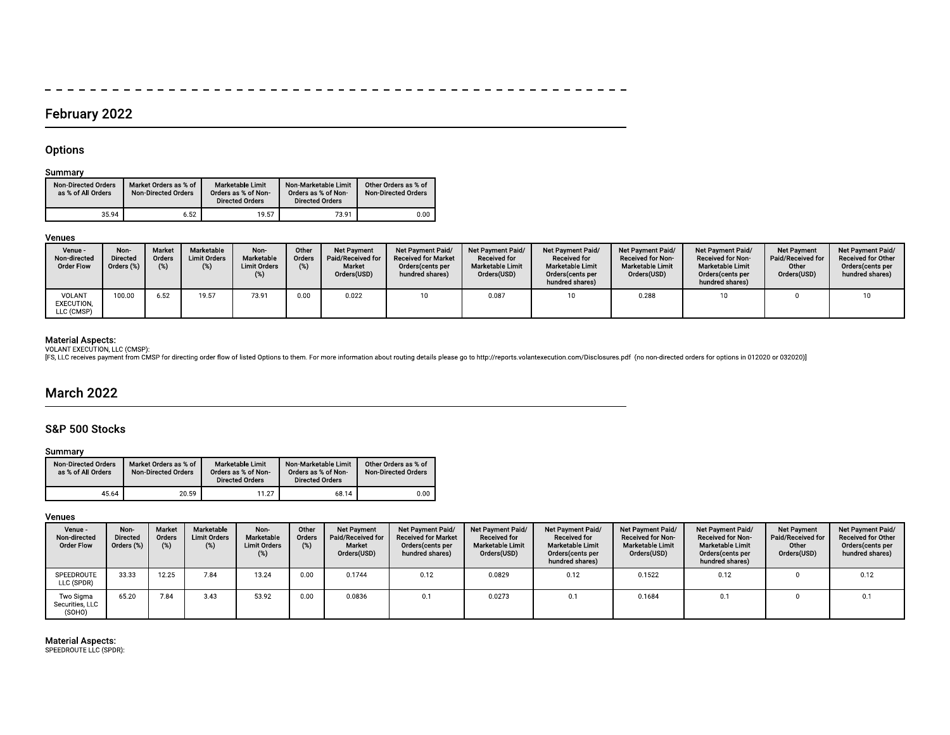## $\overline{\phantom{0}}$  $\frac{1}{2}$

# February 2022

# Options

 $\overline{\phantom{0}}$ 

# Summary

| <b>Non-Directed Orders</b><br>as % of All Orders | Market Orders as % of<br><b>Non-Directed Orders</b> | Marketable Limit<br>Orders as % of Non-<br><b>Directed Orders</b> | Non-Marketable Limit<br>Orders as % of Non-<br><b>Directed Orders</b> | Other Orders as % of<br><b>Non-Directed Orders</b> |
|--------------------------------------------------|-----------------------------------------------------|-------------------------------------------------------------------|-----------------------------------------------------------------------|----------------------------------------------------|
| 35.94                                            | 6.52                                                | 19.57                                                             | 73.91                                                                 | 0.00                                               |

# Venues

| Venue -<br>Non-directed<br><b>Order Flow</b> | Non-<br><b>Directed</b><br>$\gamma$ rders $(\%)$ , | Market<br>Orders<br>(%) | Marketable<br><b>Limit Orders</b><br>(%) | Non-<br>Marketable<br><b>Limit Orders</b> | Other<br>Orders<br>(%) | <b>Net Payment</b><br>Paid/Received for<br>Market<br>Orders(USD) | Net Payment Paid/<br><b>Received for Market</b><br>Orders(cents per<br>hundred shares) | Net Payment Paid/<br><b>Received for</b><br><b>Marketable Limit</b><br>Orders(USD) | <b>Net Payment Paid/</b><br><b>Received for</b><br>Marketable Limit<br>Orders(cents per<br>hundred shares) | Net Payment Paid/<br><b>Received for Non-</b><br><b>Marketable Limit</b><br>Orders(USD) | Net Payment Paid/<br><b>Received for Non-</b><br><b>Marketable Limit</b><br>Orders(cents per<br>hundred shares) | <b>Net Payment</b><br>Paid/Received for<br>Other<br>Orders(USD) | Net Payment Paid/<br><b>Received for Other</b><br>Orders(cents per<br>hundred shares) |
|----------------------------------------------|----------------------------------------------------|-------------------------|------------------------------------------|-------------------------------------------|------------------------|------------------------------------------------------------------|----------------------------------------------------------------------------------------|------------------------------------------------------------------------------------|------------------------------------------------------------------------------------------------------------|-----------------------------------------------------------------------------------------|-----------------------------------------------------------------------------------------------------------------|-----------------------------------------------------------------|---------------------------------------------------------------------------------------|
| VOLANT<br>EXECUTION.<br>LLC (CMSP)           | 100.00                                             | 6.52                    | 19.57                                    | 73.91                                     | 0.00                   | 0.022                                                            |                                                                                        | 0.087                                                                              | 10                                                                                                         | 0.288                                                                                   | 10                                                                                                              |                                                                 |                                                                                       |

Material Aspects:<br>VOLANT EXECUTION, LLC (CMSP):<br>[FS, LLC receives payment from CMSP for directing order flow of listed Options to them. For more information about routing details please go to http://reports.volantexecution

# **March 2022**

# S&P 500 Stocks

# Summary

| <b>Non-Directed Orders</b><br>as % of All Orders | Market Orders as % of<br><b>Non-Directed Orders</b> | Marketable Limit<br>Orders as % of Non-<br><b>Directed Orders</b> | Non-Marketable Limit<br>Orders as % of Non-<br><b>Directed Orders</b> | Other Orders as % of<br><b>Non-Directed Orders</b> |
|--------------------------------------------------|-----------------------------------------------------|-------------------------------------------------------------------|-----------------------------------------------------------------------|----------------------------------------------------|
| 45.64                                            | 20.59                                               | 11.27                                                             | 68.14                                                                 | 0.00                                               |

# Venues

| Venue -<br>Non-directed<br><b>Order Flow</b> | Non-<br>Directed<br>Orders (%) | Market<br>Orders<br>(%) | Marketable<br><b>Limit Orders</b><br>(%) | Non-<br>Marketable<br><b>Limit Orders</b> | Other<br>Orders<br>(%) | <b>Net Payment</b><br>Paid/Received for<br>Market<br>Orders(USD) | Net Payment Paid/<br><b>Received for Market</b><br>Orders (cents per<br>hundred shares) | <b>Net Payment Paid/</b><br><b>Received for</b><br><b>Marketable Limit</b><br>Orders(USD) | <b>Net Payment Paid/</b><br><b>Received for</b><br><b>Marketable Limit</b><br>Orders (cents per<br>hundred shares) | Net Payment Paid/<br><b>Received for Non-</b><br><b>Marketable Limit</b><br>Orders(USD) | <b>Net Payment Paid/</b><br><b>Received for Non-</b><br><b>Marketable Limit</b><br>Orders (cents per<br>hundred shares) | <b>Net Payment</b><br>Paid/Received for<br>Other<br>Orders(USD) | Net Payment Paid/<br><b>Received for Other</b><br>Orders(cents per<br>hundred shares) |
|----------------------------------------------|--------------------------------|-------------------------|------------------------------------------|-------------------------------------------|------------------------|------------------------------------------------------------------|-----------------------------------------------------------------------------------------|-------------------------------------------------------------------------------------------|--------------------------------------------------------------------------------------------------------------------|-----------------------------------------------------------------------------------------|-------------------------------------------------------------------------------------------------------------------------|-----------------------------------------------------------------|---------------------------------------------------------------------------------------|
| SPEEDROUTE<br>LLC (SPDR)                     | 33.33                          | 12.25                   | 7.84                                     | 13.24                                     | 0.00                   | 0.1744                                                           | 0.12                                                                                    | 0.0829                                                                                    | 0.12                                                                                                               | 0.1522                                                                                  | 0.12                                                                                                                    |                                                                 | 0.12                                                                                  |
| Two Sigma<br>Securities, LLC<br>(SOHO)       | 65.20                          | 7.84                    | 3.43                                     | 53.92                                     | 0.00                   | 0.0836                                                           | 0.1                                                                                     | 0.0273                                                                                    | 0.1                                                                                                                | 0.1684                                                                                  |                                                                                                                         |                                                                 | 0.1                                                                                   |

# Material Aspects:<br>SPEEDROUTE LLC (SPDR):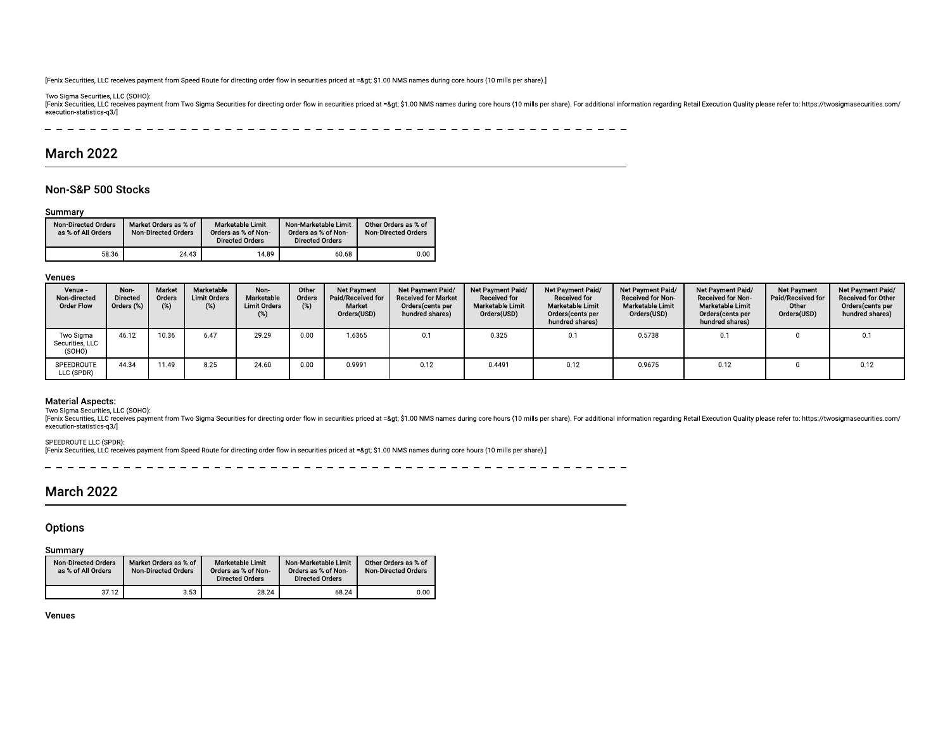-Fenix Securities, LLC receives<br>Two Sigma Securities, LLC (SC<br>Fenix Securities, LLC receives<br>execution-statistics-q3/]<br> $-$  - - - - - - - - -[Fenix Securities, LLC receives pay<br>Two Sigma Securities, LLC (SOHO)<br>[Fenix Securities, LLC receives pay<br>execution-statistics-q3/]<br> $\begin{array}{r} \n- & - - - - - - - - - \\
\hline\n\end{array}$ [Fenix Securities, LLC receives payments]<br>Two Sigma Securities, LLC (SOHO):<br>[Fenix Securities, LLC receives payments]<br>execution-statistics-q3/]<br> $-$  - - - - - - - - - - [Fenix Securities, LLC receives payment from<br>Two Sigma Securities, LLC (SOHO):<br>[Fenix Securities, LLC receives payment from<br>execution-statistics-q3/]<br> $-$  - - - - - - - - - - - - -Fenix Securities, LLC receives payment from Sp<br>
ivo Sigma Securities, LLC (SOHO):<br>
Fenix Securities, LLC receives payment from Tv<br>
securion-statistics q3/]<br>  $-$  - - - - - - - - - - - - - ---As, LLC receives payment from Speed Route for d<br>
2011 - 2012 (SOHO):<br>
2015, LLC receives payment from Two Sigma Securi<br>
2015 - 2014 - 2014 - 2014 - 2014 - 2014 - 2014<br>
2016 ves payment from Speed Route for directing<br>
(SOHO):<br>
ves payment from Two Sigma Securities for c<br>  $- - - - - - - - - - - - -$  - If from Speed Route for directing order flow in set<br> $\frac{1}{2}$  from Two Sigma Securities for directing order<br> $-\frac{1}{2}$  =  $-\frac{1}{2}$  =  $-\frac{1}{2}$  =  $-\frac{1}{2}$  =  $-\frac{1}{2}$  =  $-\frac{1}{2}$  =  $-\frac{1}{2}$  =  $-\frac{1}{2}$  =  $-\frac{1}{2}$  =  $-\frac{1$ Figure 1 and 2 and 3 and 4 and 4 and 4 and 4 and 4 and 4 and 4 and 4 and 4 and 4 and 4 and 4 and 4 and 4 and 4 and 4 and 4 and 4 and 4 and 4 and 4 and 4 and 4 and 4 and 4 and 4 and 4 and 4 and 4 and 4 and 4 and 4 and 4 an - - ting order flow in securities priced at => \$1.0<br>for directing order flow in securities priced at =<br> $\frac{1}{2}$  =  $\frac{1}{2}$  =  $\frac{1}{2}$  =  $\frac{1}{2}$  =  $\frac{1}{2}$  =  $\frac{1}{2}$  =  $\frac{1}{2}$  =  $\frac{1}{2}$  =  $\frac{1}{2}$  =  $\frac{1}{2}$  = - !""#\$- NMS names during core hours (10 mills per sl<br>
gt; \$1.00 NMS names during core hours (10 m<br>  $-$  - - - - - - - - - - -MS names during core hours (10 mills per share).<br>  $\frac{1}{2}$  \$1.00 NMS names during core hours (10 mills per share). ames during core hours (10 mills per share).]<br>  $\frac{1}{2}$ <br>  $\frac{1}{2}$  DO NMS names during core hours (10 mills per share). For<br>  $\frac{1}{2}$   $\frac{1}{2}$   $\frac{1}{2}$   $\frac{1}{2}$   $\frac{1}{2}$   $\frac{1}{2}$   $\frac{1}{2}$   $\frac{1}{2}$   $\frac{1}{2}$   $\frac{1$  % -[Fenix Securities, LLC receives payment from Speed Route for directing order flow in securities priced at => \$1.00 NMS names during core hours (10 mills per share).]<br>Two Sigma Securities, LLC receives payment from Two Fenix Securities, LLC receives payment<br>
Two Sigma Securities, LLC (SOHO):<br>
[Fenix Securities, LLC receives payment<br>
execution-statistics-q3/]<br>
— — — — — — — — — — — — — — — Магсһ 2022 Fenix Securities, LLC receives payment from<br>Two Sigma Securities, LLC (SOHO):<br>[Fenix Securities, LLC receives payment from<br>execution-statistics-q3/]<br> $- - - - - - - - - - -$ <br>**March 2022** 
&+,+(- --  $[{\color{red}Fenix}\,\text{Securities},\,\text{LLC}\,\text{receives payment}\atop \text{Two Sigma Securities},\,\text{LLC}\,\text{(SC0HO)}:\,\,\\[{\color{red}Fenix}\,\text{Securities},\,\text{LLC}\,\text{receives payment}\atop \text{execution-statistics-q3/}$  --- es, LLC receives payment from Speed Route for d<br>curities, LLC (SOHO):<br>ss, LLC receives payment from Two Sigma Securi<br>stics-q3/]<br>— — — — — — — — — — — — — — — — — — 2022 \*- m Speed Route for directing order flow in securitie<br>
m Two Sigma Securities for directing order flow in<br>  $\frac{1}{1 - \frac{1}{1 - \frac{1}{1 - \frac{1}{1 - \frac{1}{1 - \frac{1}{1 - \frac{1}{1 - \frac{1}{1 - \frac{1}{1 - \frac{1}{1 - \frac{1}{1 - \frac{1}{1 - \frac{1}{1 - \frac{1}{1 - \frac{1}{1 - \frac{1}{1 - \frac{$  -Route for directing order flow in securities priced at<br>gma Securities for directing order flow in securities  $\frac{1}{1 - 1} - \frac{1}{1 - 1} - \frac{1}{1 - 1} - \frac{1}{1 - 1} - \frac{1}{1 - 1} - \frac{1}{1 - 1} - \frac{1}{1 - 1}$ - directing order flow in securities priced at => \$1.00 N<br>
itities for directing order flow in securities priced at =&gt<br>  $- - - - - - - - - - - - -$  w in securities priced at => \$1.00 NMS names<br>of order flow in securities priced at =&gt; \$1.00 NM<br> $-$  - - - - - - - - - - - - - securities priced at => \$1.00 NMS names d<br>
der flow in securities priced at =&gt; \$1.00 NMS<br>  $-$  - - - - - - - - - - - - !""#\$- $-8$ gt; \$1.00 NMS names during core hours (10 mills per shandler example of the same of the same of the same of the same of the same of the same of the same of the same of the same of the same of the same of the same of t -% & "''- % -(! ' re). For additional information regarding Retail Execu $- - - -$ dditional information regarding Retail Execut<br>— — — — —<br>— — — — -Formation regarding Retail Execution Quality please<br>-<br>on regarding Retail Execution Quality please refer to: https://tv<br>|-<br>| il Execution Quality please refer to: https://twosi<br>|<br>| ecution Quality please refer to: https://twosigr<br>|-<br>| tution Quality please refer to: https://twosigma<br>-<br>ion Quality please refer to: https://twosigmas<br>|<br>| -%-00- -[Fenix Securities, LLC receives payment from Speed Route for directing order flow in securities priced at =8gt; \$1.00 NMS names during core hours (10 mills per share).]<br>Incolsimal Securities, LLC receives payment from Two Fenix Securities, LLC rec<br>
Two Sigma Securities, LL<br>
Fenix Securities, LLC rec<br>
execution-statistics-q3/<br>
— — — — — — — — — — Мarch 2022

|                                                               | [Fenix Securities, LLC receives payment from Speed Route for directing order flow in securities priced at =&qt \$1.00 NMS names of |                                               |                                               |  |                            |
|---------------------------------------------------------------|------------------------------------------------------------------------------------------------------------------------------------|-----------------------------------------------|-----------------------------------------------|--|----------------------------|
| Two Sigma Securities, LLC (SOHO):<br>execution-statistics-q3/ | [Fenix Securities, LLC receives payment from Two Sigma Securities for directing order flow in securities priced at => \$1.00 NMS   |                                               |                                               |  |                            |
|                                                               |                                                                                                                                    |                                               |                                               |  |                            |
| <b>March 2022</b><br>Non-S&P 500 Stocks                       |                                                                                                                                    |                                               |                                               |  |                            |
| <b>Non-Directed Orders</b>                                    |                                                                                                                                    | <b>Marketable Limit</b>                       | Non-Marketable Limit                          |  | Other Orders as % of       |
| Summary<br>as % of All Orders                                 | Market Orders as % of<br><b>Non-Directed Orders</b>                                                                                | Orders as % of Non-<br><b>Directed Orders</b> | Orders as % of Non-<br><b>Directed Orders</b> |  | <b>Non-Directed Orders</b> |

| Non-S&P 500 Stocks                                          |                                       |                                                     |                                             |                                                                   |                                                                              |                                                                  |                                                                                        |                                                                             |                                                                                                     |                                                                           |                                                                                                          |                                                                 |                                                                                |
|-------------------------------------------------------------|---------------------------------------|-----------------------------------------------------|---------------------------------------------|-------------------------------------------------------------------|------------------------------------------------------------------------------|------------------------------------------------------------------|----------------------------------------------------------------------------------------|-----------------------------------------------------------------------------|-----------------------------------------------------------------------------------------------------|---------------------------------------------------------------------------|----------------------------------------------------------------------------------------------------------|-----------------------------------------------------------------|--------------------------------------------------------------------------------|
| Summary<br><b>Non-Directed Orders</b><br>as % of All Orders |                                       | Market Orders as % of<br><b>Non-Directed Orders</b> |                                             | Marketable Limit<br>Orders as % of Non-<br><b>Directed Orders</b> | <b>Non-Marketable Limit</b><br>Orders as % of Non-<br><b>Directed Orders</b> |                                                                  | Other Orders as % of<br><b>Non-Directed Orders</b>                                     |                                                                             |                                                                                                     |                                                                           |                                                                                                          |                                                                 |                                                                                |
|                                                             | 58.36                                 | 24.43                                               |                                             | 14.89                                                             |                                                                              | 60.68                                                            | 0.00                                                                                   |                                                                             |                                                                                                     |                                                                           |                                                                                                          |                                                                 |                                                                                |
| Venues                                                      |                                       |                                                     |                                             |                                                                   |                                                                              |                                                                  |                                                                                        |                                                                             |                                                                                                     |                                                                           |                                                                                                          |                                                                 |                                                                                |
| Venue -<br>Non-directed<br><b>Order Flow</b>                | Non-<br><b>Directed</b><br>Orders (%) | Market<br>Orders<br>(%)                             | Marketable<br><b>Limit Orders</b><br>$(\%)$ | Non-<br>Marketable<br><b>Limit Orders</b><br>(%)                  | Other<br>Orders<br>(%)                                                       | <b>Net Payment</b><br>Paid/Received for<br>Market<br>Orders(USD) | Net Payment Paid/<br><b>Received for Market</b><br>Orders(cents per<br>hundred shares) | Net Payment Paid/<br><b>Received for</b><br>Marketable Limit<br>Orders(USD) | Net Payment Paid,<br><b>Received for</b><br>Marketable Limit<br>Orders(cents per<br>hundred shares) | Net Payment Paid/<br>Received for Non-<br>Marketable Limit<br>Orders(USD) | Net Payment Paid/<br>Received for Non-<br><b>Marketable Limit</b><br>Orders(cents per<br>hundred shares) | <b>Net Payment</b><br>Paid/Received for<br>Other<br>Orders(USD) | Net Payment Paid/<br>Received for Other<br>Orders(cents per<br>hundred shares) |
| Two Sigma<br>Securities, LLC<br>(SOHO)                      | 46.12                                 | 10.36                                               | 6.47                                        | 29.29                                                             | 0.00                                                                         | 1.6365                                                           | 0.1                                                                                    | 0.325                                                                       | 0.1                                                                                                 | 0.5738                                                                    | 0.1                                                                                                      | $\Omega$                                                        | 0.1                                                                            |
| SPEEDROUTE<br>LLC (SPDR)                                    | 44.34                                 | 11.49                                               | 8.25                                        | 24.60                                                             | 0.00                                                                         | 0.9991                                                           | 0.12                                                                                   | 0.4491                                                                      | 0.12                                                                                                | 0.9675                                                                    | 0.12                                                                                                     | $\overline{0}$                                                  | 0.12                                                                           |

|                                                                                                                                           | 44.34<br>11.49                                                                                                                                                                                                                                                                                                                                                          | 8.25<br>24.60                                                     | 0.00                                                                  | 0.9991 | 0.12                                               | 0.4491 | 0.12 |
|-------------------------------------------------------------------------------------------------------------------------------------------|-------------------------------------------------------------------------------------------------------------------------------------------------------------------------------------------------------------------------------------------------------------------------------------------------------------------------------------------------------------------------|-------------------------------------------------------------------|-----------------------------------------------------------------------|--------|----------------------------------------------------|--------|------|
| <b>Material Aspects:</b><br>Two Sigma Securities, LLC (SOHO):<br>execution-statistics-q3/]<br>SPEEDROUTE LLC (SPDR):<br><b>March 2022</b> | [Fenix Securities, LLC receives payment from Two Sigma Securities for directing order flow in securities priced at => \$1.00 NMS names during core hours (10 mills per share). For additional<br>[Fenix Securities, LLC receives payment from Speed Route for directing order flow in securities priced at => \$1.00 NMS names during core hours (10 mills per share).] |                                                                   |                                                                       |        |                                                    |        |      |
| <b>Options</b><br>Summary                                                                                                                 |                                                                                                                                                                                                                                                                                                                                                                         |                                                                   |                                                                       |        |                                                    |        |      |
| <b>Non-Directed Orders</b><br>as % of All Orders                                                                                          | Market Orders as % of<br><b>Non-Directed Orders</b>                                                                                                                                                                                                                                                                                                                     | Marketable Limit<br>Orders as % of Non-<br><b>Directed Orders</b> | Non-Marketable Limit<br>Orders as % of Non-<br><b>Directed Orders</b> |        | Other Orders as % of<br><b>Non-Directed Orders</b> |        |      |
|                                                                                                                                           |                                                                                                                                                                                                                                                                                                                                                                         |                                                                   |                                                                       |        |                                                    |        |      |
| 37.12                                                                                                                                     | 3.53                                                                                                                                                                                                                                                                                                                                                                    | 28.24                                                             | 68.24                                                                 |        | 0.00                                               |        |      |